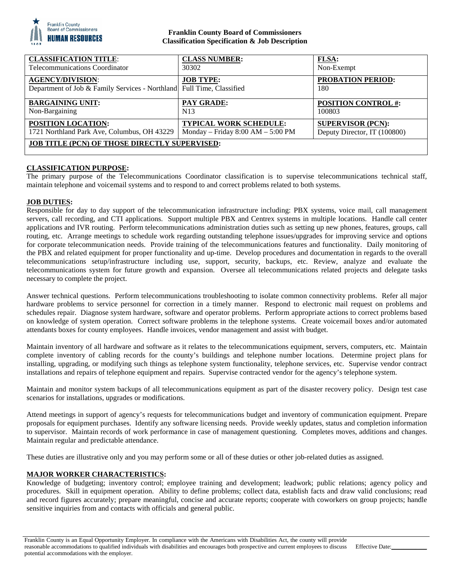

# **Franklin County Board of Commissioners Classification Specification & Job Description**

| <b>CLASSIFICATION TITLE:</b>                                                                     | <b>CLASS NUMBER:</b>                | <b>FLSA:</b>                    |
|--------------------------------------------------------------------------------------------------|-------------------------------------|---------------------------------|
| <b>Telecommunications Coordinator</b>                                                            | 30302                               | Non-Exempt                      |
| <b>AGENCY/DIVISION:</b><br>Department of Job & Family Services - Northland Full Time, Classified | <b>JOB TYPE:</b>                    | <b>PROBATION PERIOD:</b><br>180 |
| <b>BARGAINING UNIT:</b>                                                                          | <b>PAY GRADE:</b>                   | <b>POSITION CONTROL #:</b>      |
| Non-Bargaining                                                                                   | N <sub>13</sub>                     | 100803                          |
| POSITION LOCATION:                                                                               | <b>TYPICAL WORK SCHEDULE:</b>       | <b>SUPERVISOR (PCN):</b>        |
| 1721 Northland Park Ave, Columbus, OH 43229                                                      | Monday – Friday $8:00 AM - 5:00 PM$ | Deputy Director, IT (100800)    |
| <b>JOB TITLE (PCN) OF THOSE DIRECTLY SUPERVISED:</b>                                             |                                     |                                 |

# **CLASSIFICATION PURPOSE:**

The primary purpose of the Telecommunications Coordinator classification is to supervise telecommunications technical staff, maintain telephone and voicemail systems and to respond to and correct problems related to both systems.

# **JOB DUTIES:**

Responsible for day to day support of the telecommunication infrastructure including: PBX systems, voice mail, call management servers, call recording, and CTI applications. Support multiple PBX and Centrex systems in multiple locations. Handle call center applications and IVR routing. Perform telecommunications administration duties such as setting up new phones, features, groups, call routing, etc. Arrange meetings to schedule work regarding outstanding telephone issues/upgrades for improving service and options for corporate telecommunication needs. Provide training of the telecommunications features and functionality. Daily monitoring of the PBX and related equipment for proper functionality and up-time. Develop procedures and documentation in regards to the overall telecommunications setup/infrastructure including use, support, security, backups, etc. Review, analyze and evaluate the telecommunications system for future growth and expansion. Oversee all telecommunications related projects and delegate tasks necessary to complete the project.

Answer technical questions. Perform telecommunications troubleshooting to isolate common connectivity problems. Refer all major hardware problems to service personnel for correction in a timely manner. Respond to electronic mail request on problems and schedules repair. Diagnose system hardware, software and operator problems. Perform appropriate actions to correct problems based on knowledge of system operation. Correct software problems in the telephone systems. Create voicemail boxes and/or automated attendants boxes for county employees. Handle invoices, vendor management and assist with budget.

Maintain inventory of all hardware and software as it relates to the telecommunications equipment, servers, computers, etc. Maintain complete inventory of cabling records for the county's buildings and telephone number locations. Determine project plans for installing, upgrading, or modifying such things as telephone system functionality, telephone services, etc. Supervise vendor contract installations and repairs of telephone equipment and repairs. Supervise contracted vendor for the agency's telephone system.

Maintain and monitor system backups of all telecommunications equipment as part of the disaster recovery policy. Design test case scenarios for installations, upgrades or modifications.

Attend meetings in support of agency's requests for telecommunications budget and inventory of communication equipment. Prepare proposals for equipment purchases. Identify any software licensing needs. Provide weekly updates, status and completion information to supervisor. Maintain records of work performance in case of management questioning. Completes moves, additions and changes. Maintain regular and predictable attendance.

These duties are illustrative only and you may perform some or all of these duties or other job-related duties as assigned.

# **MAJOR WORKER CHARACTERISTICS:**

Knowledge of budgeting; inventory control; employee training and development; leadwork; public relations; agency policy and procedures. Skill in equipment operation. Ability to define problems; collect data, establish facts and draw valid conclusions; read and record figures accurately; prepare meaningful, concise and accurate reports; cooperate with coworkers on group projects; handle sensitive inquiries from and contacts with officials and general public.